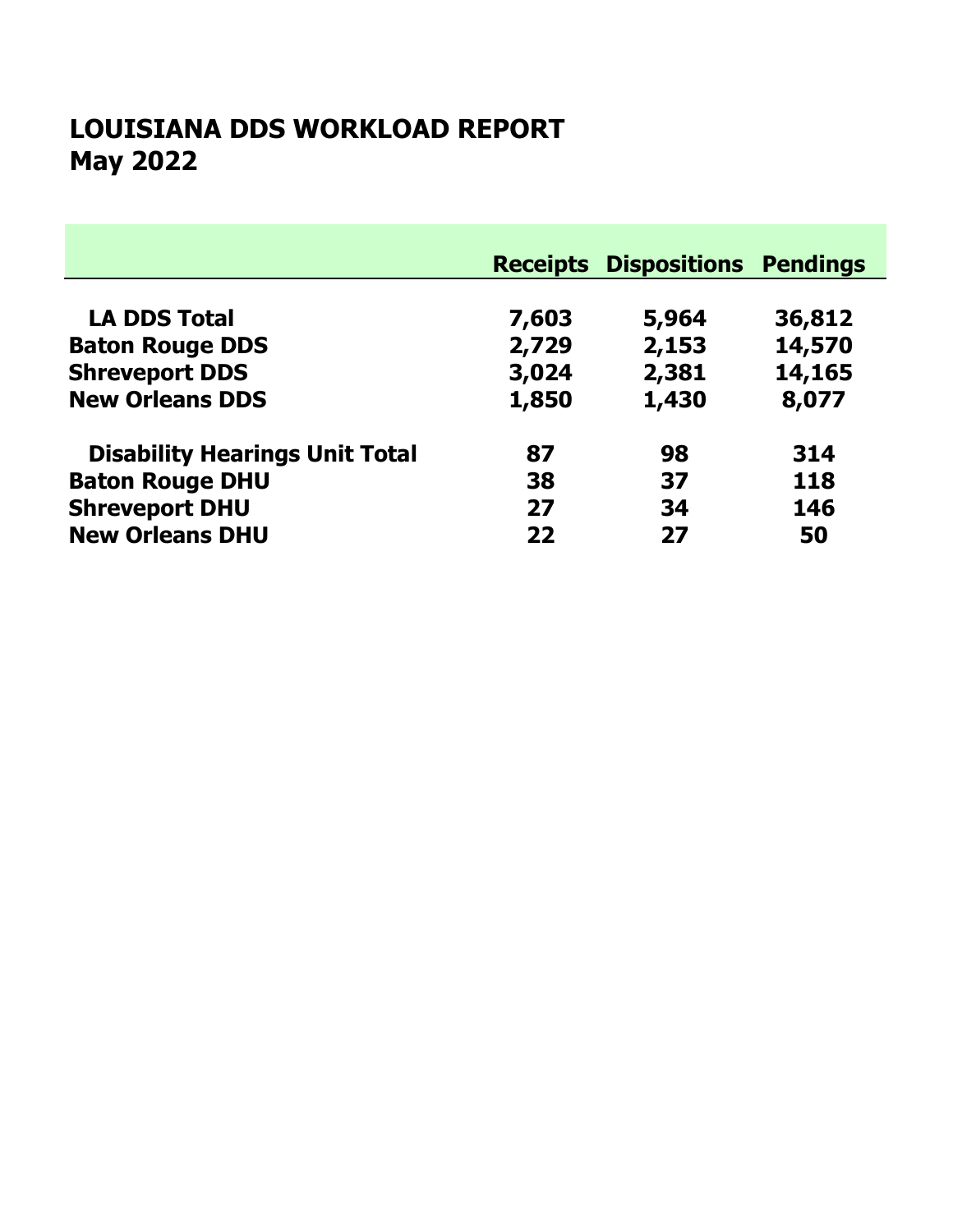# May 2022 LOUISIANA DDS WORKLOAD REPORT

|                                       |       | <b>Receipts Dispositions Pendings</b> |        |
|---------------------------------------|-------|---------------------------------------|--------|
|                                       |       |                                       |        |
| <b>LA DDS Total</b>                   | 7,603 | 5,964                                 | 36,812 |
| <b>Baton Rouge DDS</b>                | 2,729 | 2,153                                 | 14,570 |
| <b>Shreveport DDS</b>                 | 3,024 | 2,381                                 | 14,165 |
| <b>New Orleans DDS</b>                | 1,850 | 1,430                                 | 8,077  |
| <b>Disability Hearings Unit Total</b> | 87    | 98                                    | 314    |
| <b>Baton Rouge DHU</b>                | 38    | 37                                    | 118    |
| <b>Shreveport DHU</b>                 | 27    | 34                                    | 146    |
| <b>New Orleans DHU</b>                | 22    | 27                                    | 50     |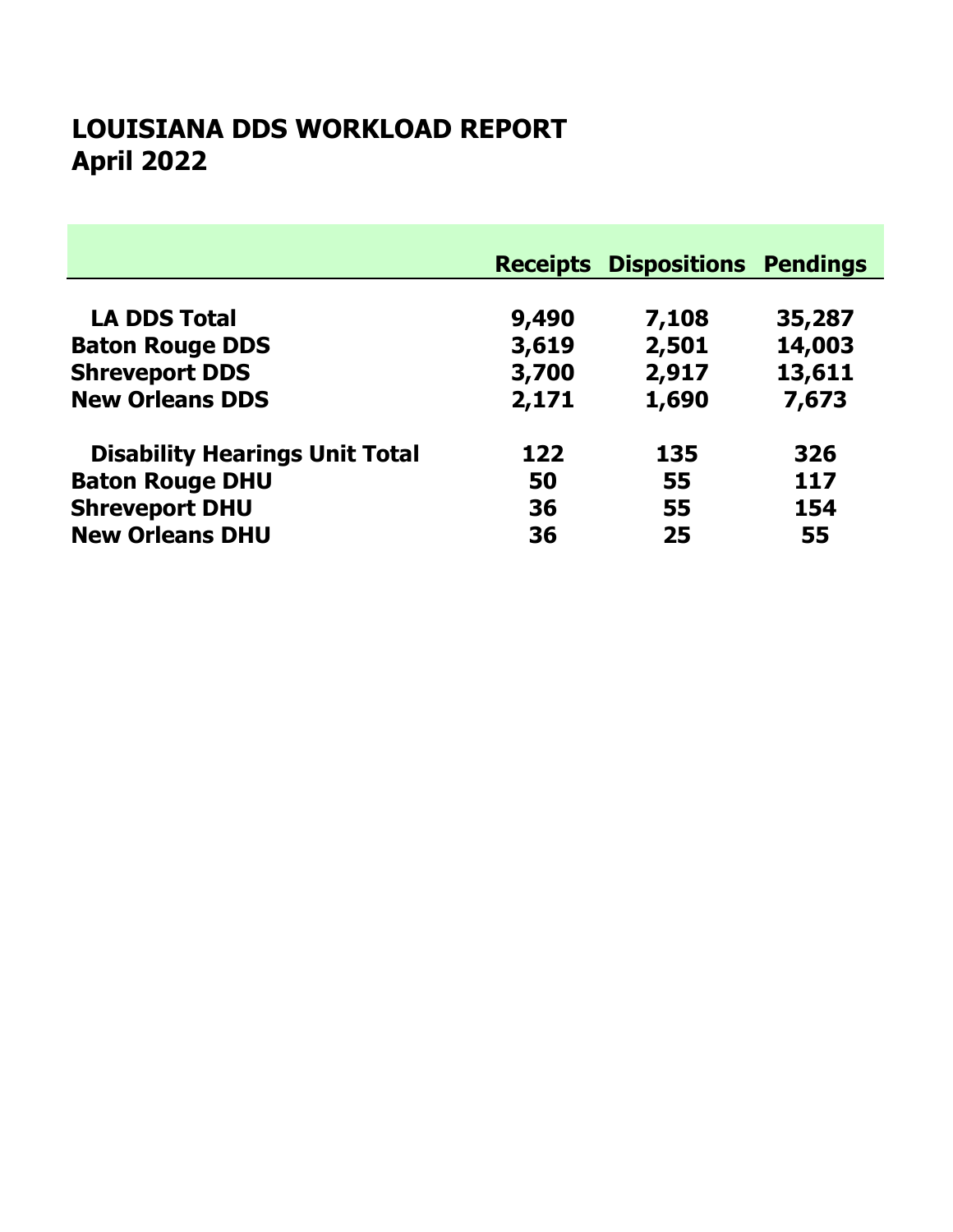# April 2022 LOUISIANA DDS WORKLOAD REPORT

|                                       |       | <b>Receipts Dispositions Pendings</b> |        |
|---------------------------------------|-------|---------------------------------------|--------|
| <b>LA DDS Total</b>                   | 9,490 | 7,108                                 | 35,287 |
| <b>Baton Rouge DDS</b>                | 3,619 | 2,501                                 | 14,003 |
| <b>Shreveport DDS</b>                 | 3,700 | 2,917                                 | 13,611 |
| <b>New Orleans DDS</b>                | 2,171 | 1,690                                 | 7,673  |
| <b>Disability Hearings Unit Total</b> | 122   | 135                                   | 326    |
| <b>Baton Rouge DHU</b>                | 50    | 55                                    | 117    |
| <b>Shreveport DHU</b>                 | 36    | 55                                    | 154    |
| <b>New Orleans DHU</b>                | 36    | 25                                    | 55     |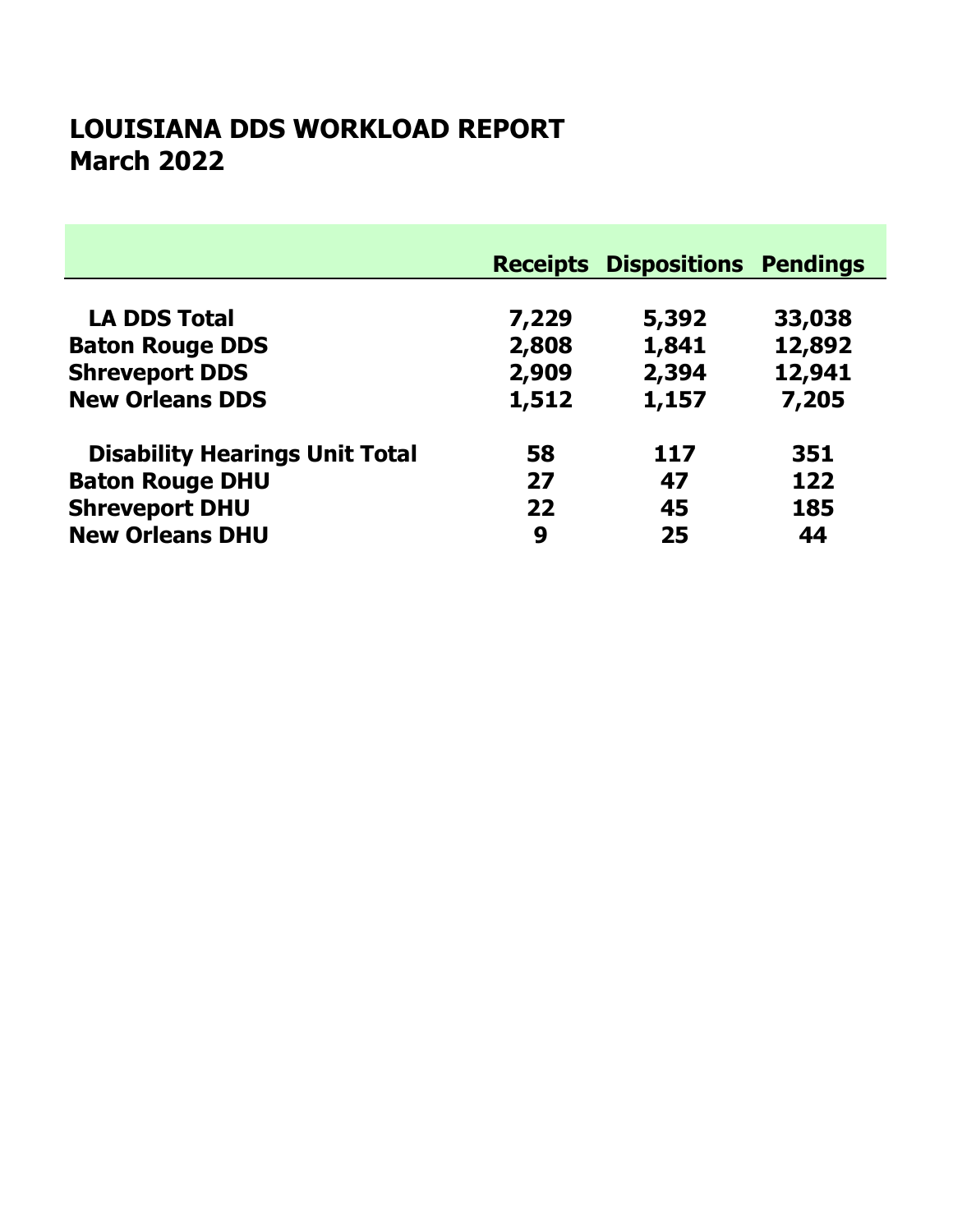### March 2022 LOUISIANA DDS WORKLOAD REPORT

|                                       |       | <b>Receipts Dispositions Pendings</b> |        |
|---------------------------------------|-------|---------------------------------------|--------|
|                                       |       |                                       |        |
| <b>LA DDS Total</b>                   | 7,229 | 5,392                                 | 33,038 |
| <b>Baton Rouge DDS</b>                | 2,808 | 1,841                                 | 12,892 |
| <b>Shreveport DDS</b>                 | 2,909 | 2,394                                 | 12,941 |
| <b>New Orleans DDS</b>                | 1,512 | 1,157                                 | 7,205  |
| <b>Disability Hearings Unit Total</b> | 58    | 117                                   | 351    |
| <b>Baton Rouge DHU</b>                | 27    | 47                                    | 122    |
| <b>Shreveport DHU</b>                 | 22    | 45                                    | 185    |
| <b>New Orleans DHU</b>                | 9     | 25                                    | 44     |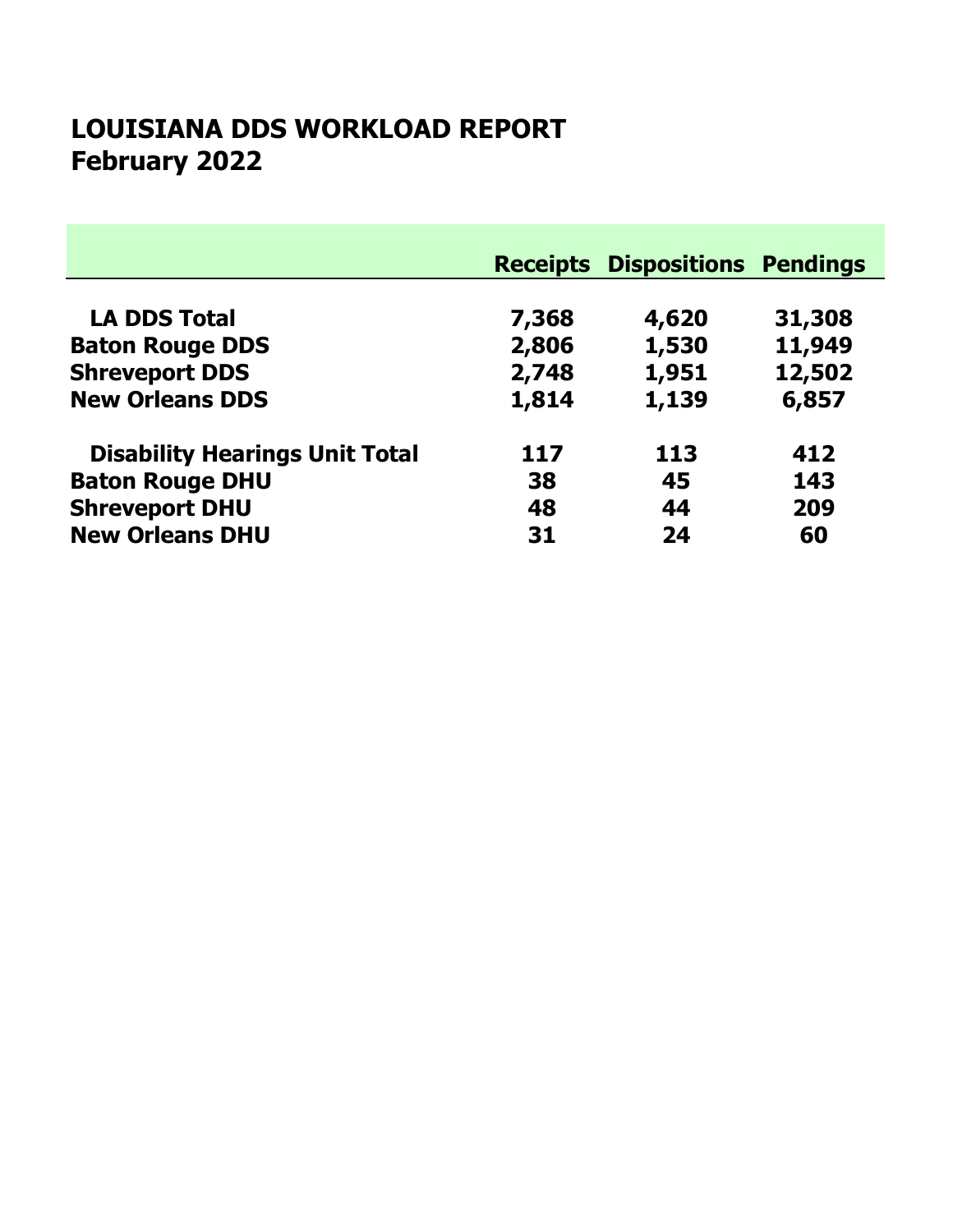# February 2022 LOUISIANA DDS WORKLOAD REPORT

|                                       |       | <b>Receipts Dispositions Pendings</b> |        |
|---------------------------------------|-------|---------------------------------------|--------|
|                                       |       |                                       |        |
| <b>LA DDS Total</b>                   | 7,368 | 4,620                                 | 31,308 |
| <b>Baton Rouge DDS</b>                | 2,806 | 1,530                                 | 11,949 |
| <b>Shreveport DDS</b>                 | 2,748 | 1,951                                 | 12,502 |
| <b>New Orleans DDS</b>                | 1,814 | 1,139                                 | 6,857  |
| <b>Disability Hearings Unit Total</b> | 117   | 113                                   | 412    |
| <b>Baton Rouge DHU</b>                | 38    | 45                                    | 143    |
| <b>Shreveport DHU</b>                 | 48    | 44                                    | 209    |
| <b>New Orleans DHU</b>                | 31    | 24                                    | 60     |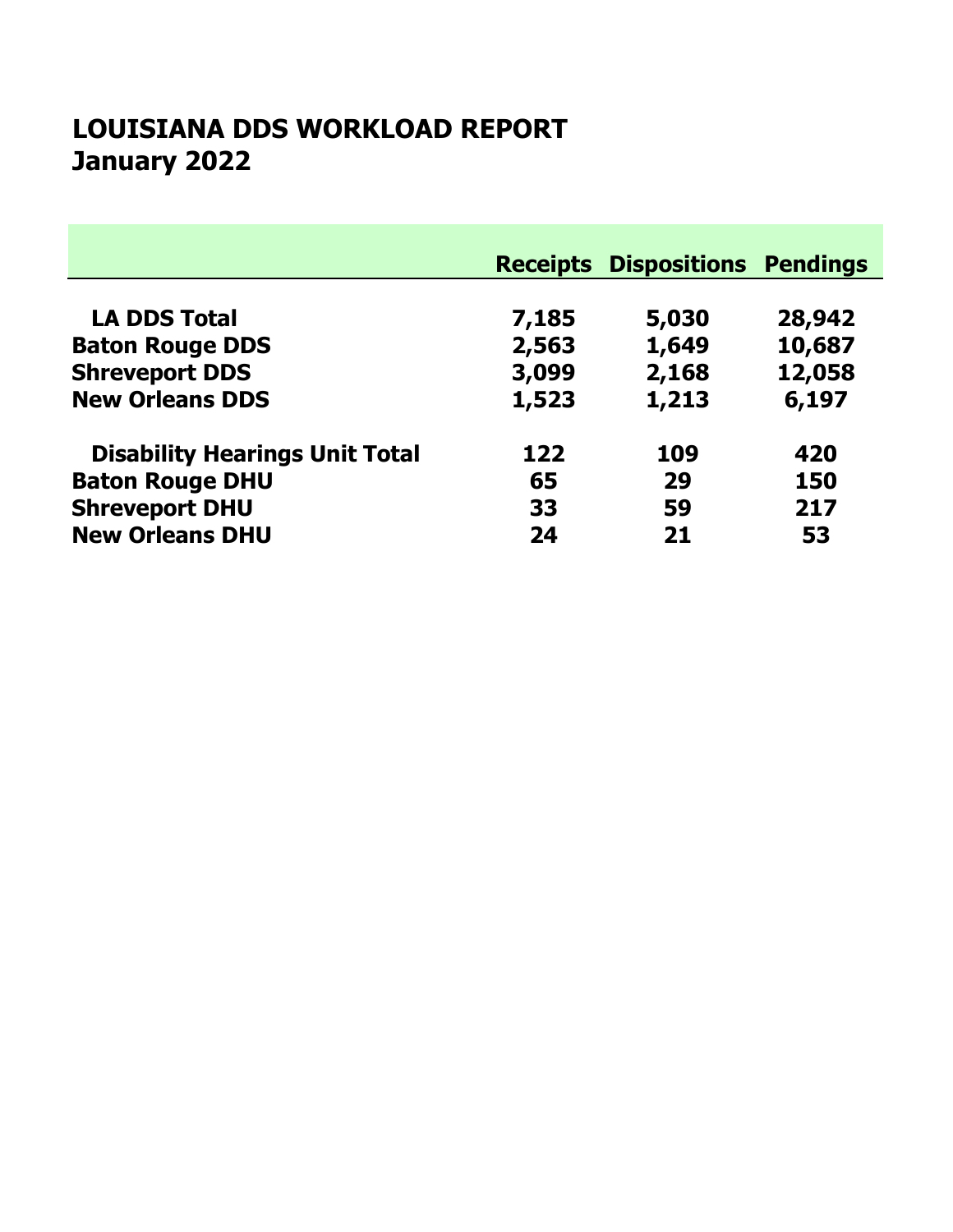# January 2022 LOUISIANA DDS WORKLOAD REPORT

|                                       |       | <b>Receipts Dispositions Pendings</b> |        |
|---------------------------------------|-------|---------------------------------------|--------|
| <b>LA DDS Total</b>                   | 7,185 | 5,030                                 | 28,942 |
| <b>Baton Rouge DDS</b>                | 2,563 | 1,649                                 | 10,687 |
| <b>Shreveport DDS</b>                 | 3,099 | 2,168                                 | 12,058 |
| <b>New Orleans DDS</b>                | 1,523 | 1,213                                 | 6,197  |
| <b>Disability Hearings Unit Total</b> | 122   | 109                                   | 420    |
| <b>Baton Rouge DHU</b>                | 65    | 29                                    | 150    |
| <b>Shreveport DHU</b>                 | 33    | 59                                    | 217    |
| <b>New Orleans DHU</b>                | 24    | 21                                    | 53     |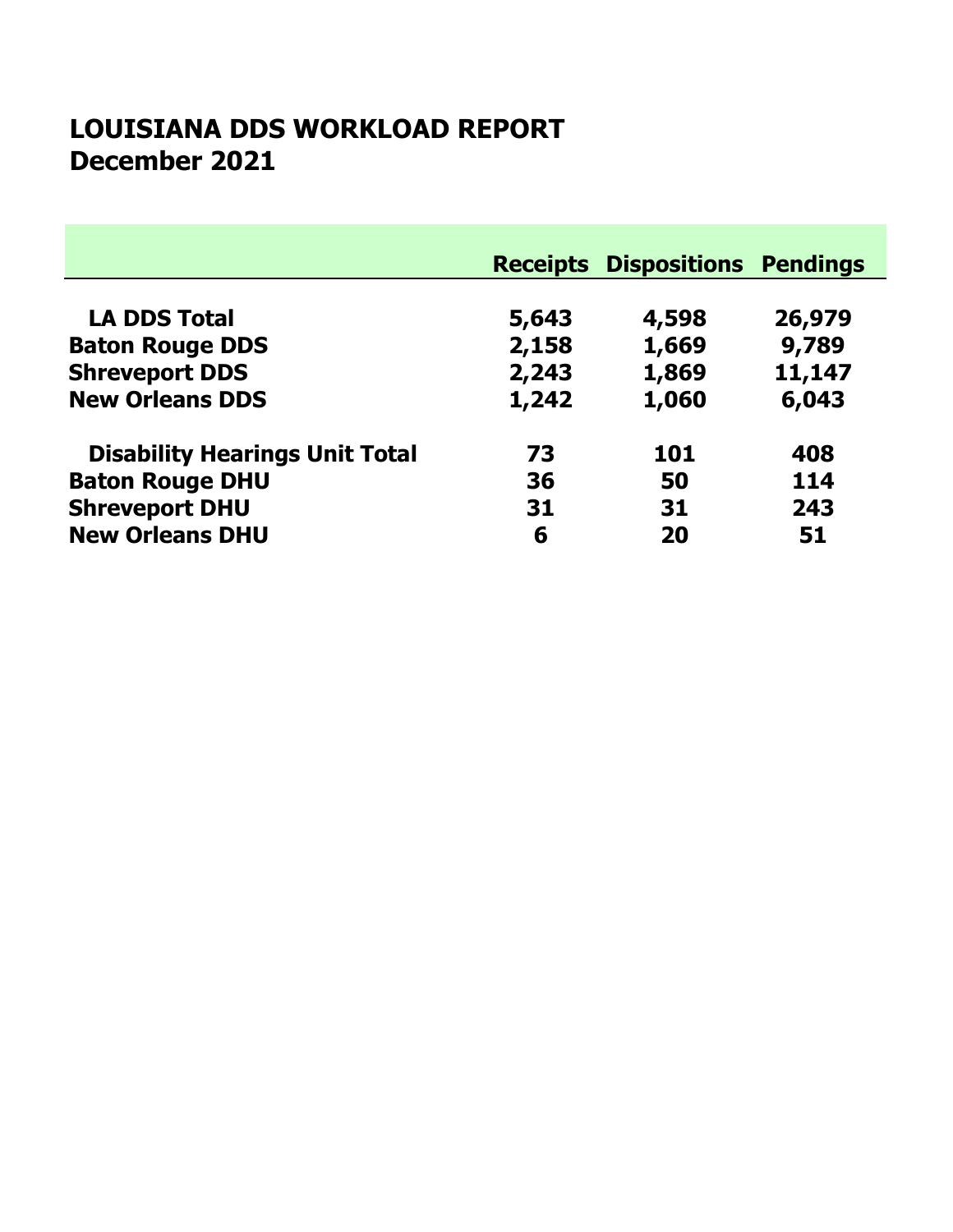### December 2021 LOUISIANA DDS WORKLOAD REPORT

|                                       |       | <b>Receipts Dispositions Pendings</b> |        |
|---------------------------------------|-------|---------------------------------------|--------|
| <b>LA DDS Total</b>                   | 5,643 | 4,598                                 | 26,979 |
| <b>Baton Rouge DDS</b>                | 2,158 | 1,669                                 | 9,789  |
| <b>Shreveport DDS</b>                 | 2,243 | 1,869                                 | 11,147 |
| <b>New Orleans DDS</b>                | 1,242 | 1,060                                 | 6,043  |
| <b>Disability Hearings Unit Total</b> | 73    | 101                                   | 408    |
| <b>Baton Rouge DHU</b>                | 36    | 50                                    | 114    |
| <b>Shreveport DHU</b>                 | 31    | 31                                    | 243    |
| <b>New Orleans DHU</b>                | 6     | 20                                    | 51     |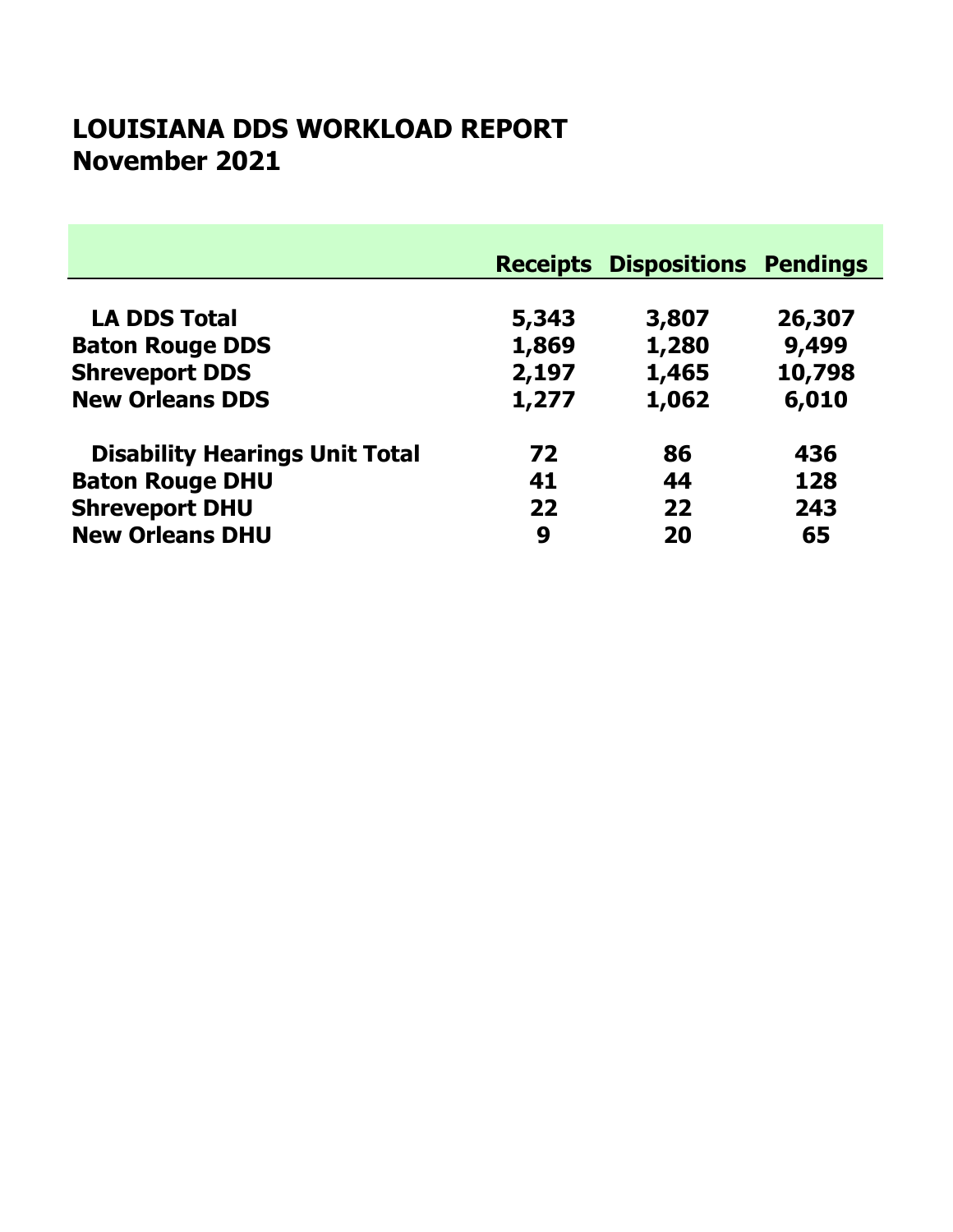### November 2021 LOUISIANA DDS WORKLOAD REPORT

|                                       |       | <b>Receipts Dispositions Pendings</b> |        |
|---------------------------------------|-------|---------------------------------------|--------|
| <b>LA DDS Total</b>                   | 5,343 | 3,807                                 | 26,307 |
| <b>Baton Rouge DDS</b>                | 1,869 | 1,280                                 | 9,499  |
| <b>Shreveport DDS</b>                 | 2,197 | 1,465                                 | 10,798 |
| <b>New Orleans DDS</b>                | 1,277 | 1,062                                 | 6,010  |
| <b>Disability Hearings Unit Total</b> | 72    | 86                                    | 436    |
| <b>Baton Rouge DHU</b>                | 41    | 44                                    | 128    |
| <b>Shreveport DHU</b>                 | 22    | 22                                    | 243    |
| <b>New Orleans DHU</b>                | 9     | 20                                    | 65     |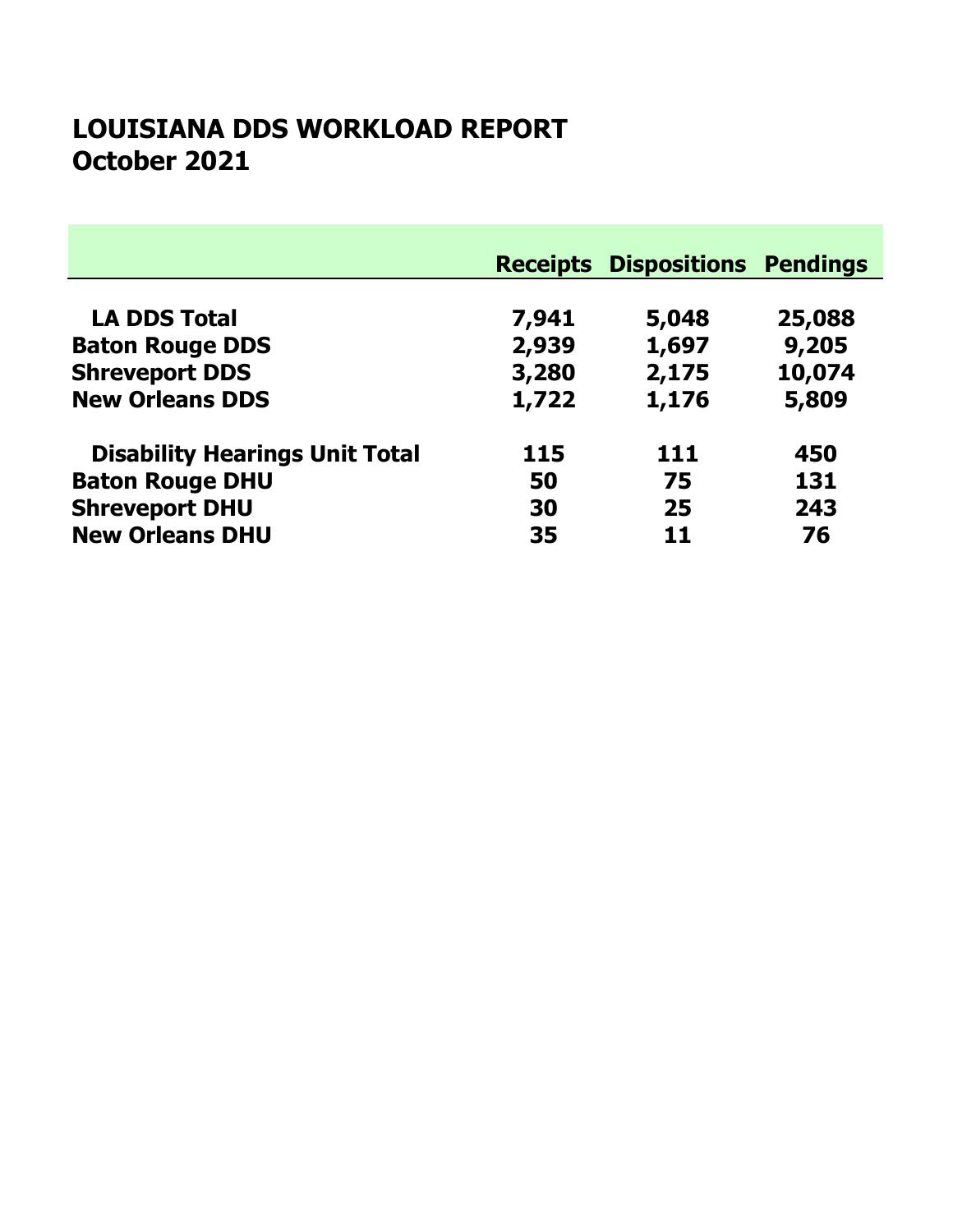#### October 2021 LOUISIANA DDS WORKLOAD REPORT

|                                       |       | <b>Receipts Dispositions Pendings</b> |        |
|---------------------------------------|-------|---------------------------------------|--------|
|                                       |       |                                       |        |
| <b>LA DDS Total</b>                   | 7,941 | 5,048                                 | 25,088 |
| <b>Baton Rouge DDS</b>                | 2,939 | 1,697                                 | 9,205  |
| <b>Shreveport DDS</b>                 | 3,280 | 2,175                                 | 10,074 |
| <b>New Orleans DDS</b>                | 1,722 | 1,176                                 | 5,809  |
| <b>Disability Hearings Unit Total</b> | 115   | 111                                   | 450    |
| <b>Baton Rouge DHU</b>                | 50    | 75                                    | 131    |
| <b>Shreveport DHU</b>                 | 30    | 25                                    | 243    |
| <b>New Orleans DHU</b>                | 35    | 11                                    | 76     |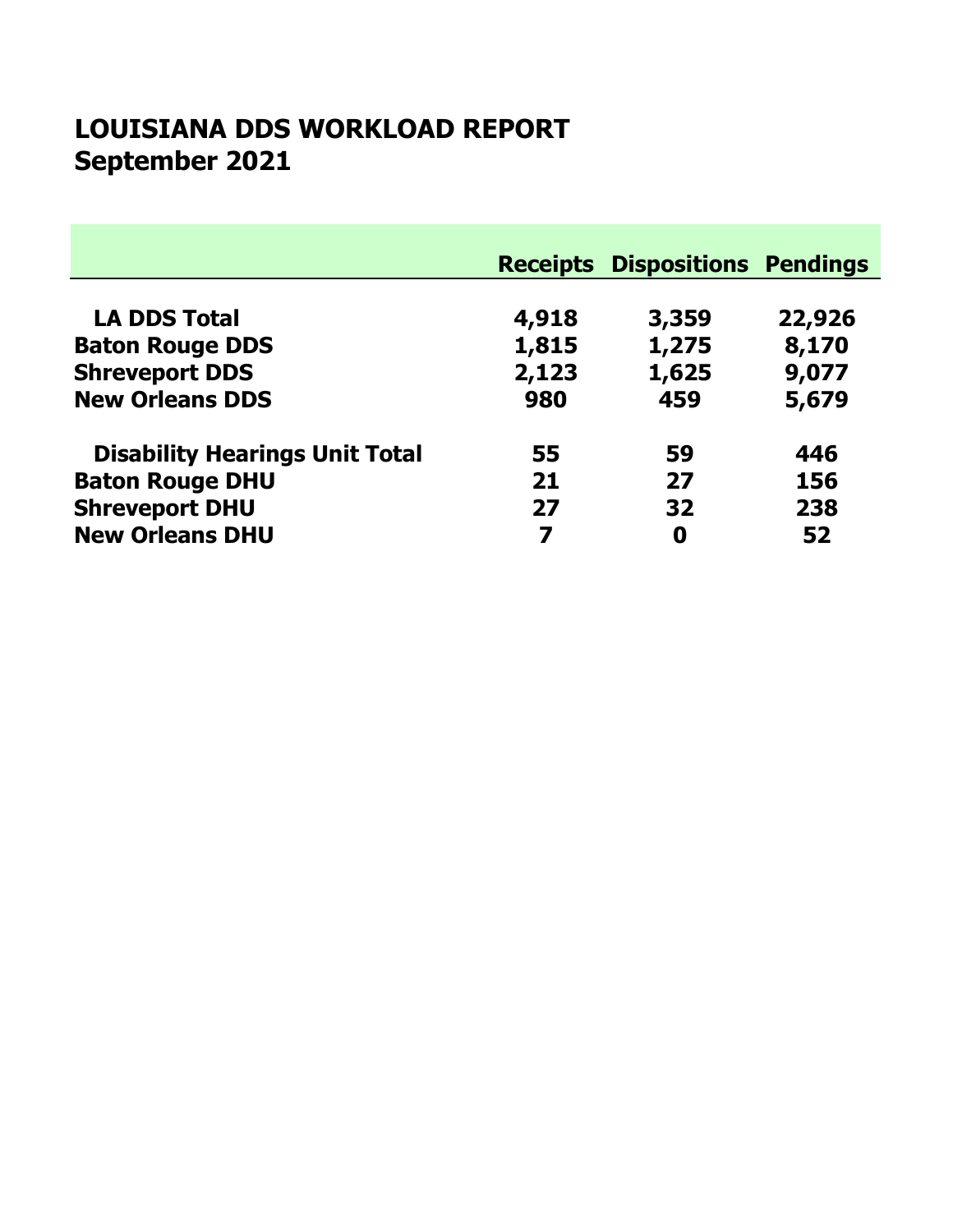# September 2021 LOUISIANA DDS WORKLOAD REPORT

|                                       |       | <b>Receipts Dispositions Pendings</b> |        |
|---------------------------------------|-------|---------------------------------------|--------|
| <b>LA DDS Total</b>                   | 4,918 | 3,359                                 | 22,926 |
| <b>Baton Rouge DDS</b>                | 1,815 | 1,275                                 | 8,170  |
| <b>Shreveport DDS</b>                 | 2,123 | 1,625                                 | 9,077  |
| <b>New Orleans DDS</b>                | 980   | 459                                   | 5,679  |
| <b>Disability Hearings Unit Total</b> | 55    | 59                                    | 446    |
| <b>Baton Rouge DHU</b>                | 21    | 27                                    | 156    |
| <b>Shreveport DHU</b>                 | 27    | 32                                    | 238    |
| <b>New Orleans DHU</b>                | 7     | 0                                     | 52     |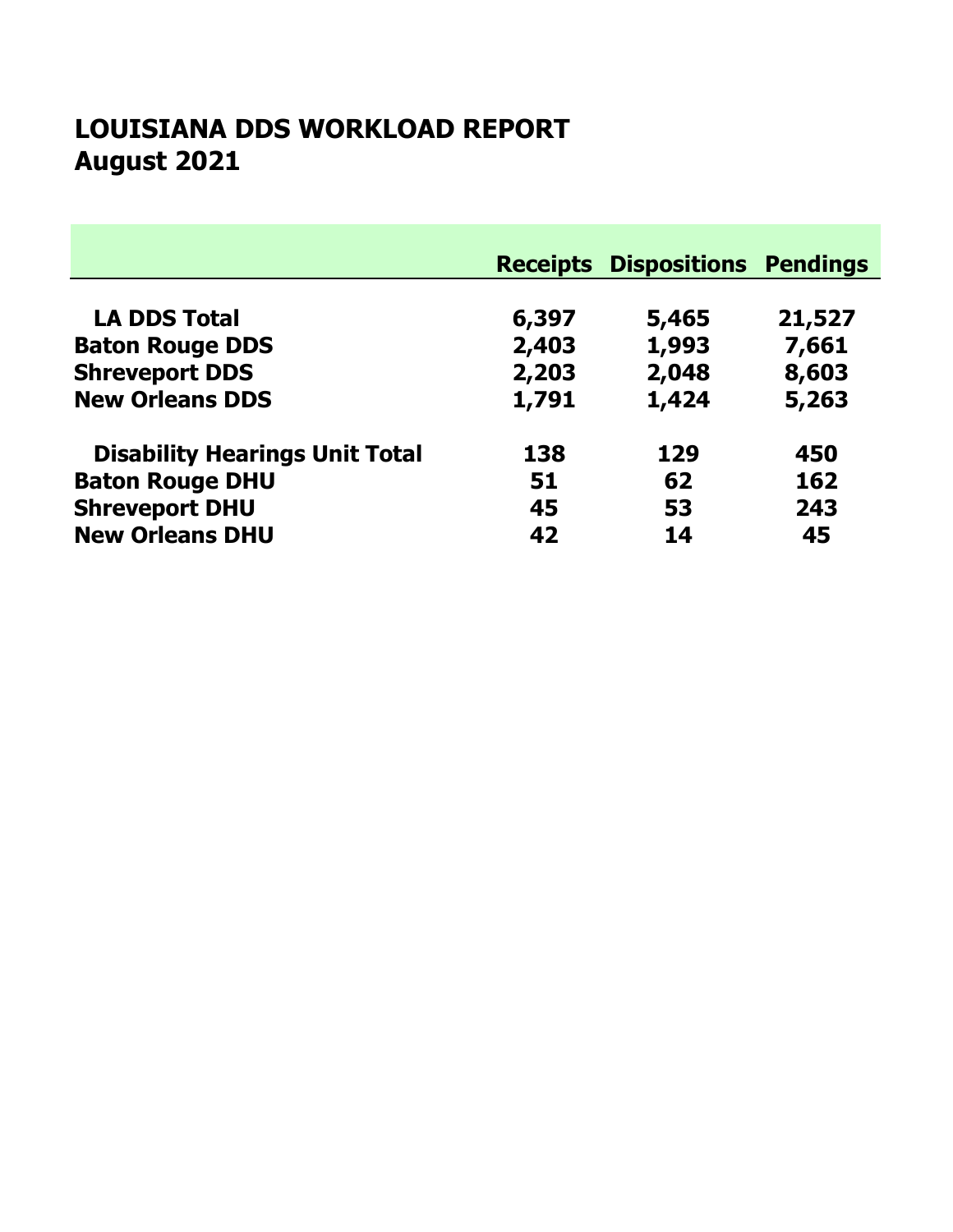# August 2021 LOUISIANA DDS WORKLOAD REPORT

|                                       |       | <b>Receipts Dispositions Pendings</b> |        |
|---------------------------------------|-------|---------------------------------------|--------|
|                                       |       |                                       |        |
| <b>LA DDS Total</b>                   | 6,397 | 5,465                                 | 21,527 |
| <b>Baton Rouge DDS</b>                | 2,403 | 1,993                                 | 7,661  |
| <b>Shreveport DDS</b>                 | 2,203 | 2,048                                 | 8,603  |
| <b>New Orleans DDS</b>                | 1,791 | 1,424                                 | 5,263  |
| <b>Disability Hearings Unit Total</b> | 138   | 129                                   | 450    |
| <b>Baton Rouge DHU</b>                | 51    | 62                                    | 162    |
| <b>Shreveport DHU</b>                 | 45    | 53                                    | 243    |
| <b>New Orleans DHU</b>                | 42    | 14                                    | 45     |